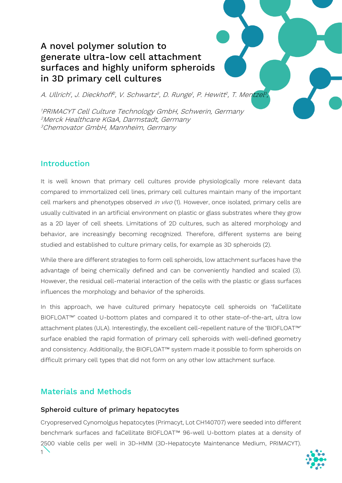# A novel polymer solution to generate ultra-low cell attachment surfaces and highly uniform spheroids in 3D primary cell cultures

A. Ullrich<sup>1</sup>, J. Dieckhoff<sup>2</sup>, V. Schwartz<sup>3</sup>, D. Runge<sup>1</sup>, P. Hewitt<sup>2</sup>, T. Mentzel<sup>3</sup>,

1 PRIMACYT Cell Culture Technology GmbH, Schwerin, Germany 2Merck Healthcare KGaA, Darmstadt, Germany 3Chemovator GmbH, Mannheim, Germany

# Introduction

It is well known that primary cell cultures provide physiologically more relevant data compared to immortalized cell lines, primary cell cultures maintain many of the important cell markers and phenotypes observed in vivo (1). However, once isolated, primary cells are usually cultivated in an artificial environment on plastic or glass substrates where they grow as a 2D layer of cell sheets. Limitations of 2D cultures, such as altered morphology and behavior, are increasingly becoming recognized. Therefore, different systems are being studied and established to culture primary cells, for example as 3D spheroids (2).

While there are different strategies to form cell spheroids, low attachment surfaces have the advantage of being chemically defined and can be conveniently handled and scaled (3). However, the residual cell-material interaction of the cells with the plastic or glass surfaces influences the morphology and behavior of the spheroids.

In this approach, we have cultured primary hepatocyte cell spheroids on 'faCellitate BIOFLOAT™' coated U-bottom plates and compared it to other state-of-the-art, ultra low attachment plates (ULA). Interestingly, the excellent cell-repellent nature of the 'BIOFLOAT™' surface enabled the rapid formation of primary cell spheroids with well-defined geometry and consistency. Additionally, the BIOFLOAT™ system made it possible to form spheroids on difficult primary cell types that did not form on any other low attachment surface.

# Materials and Methods

#### Spheroid culture of primary hepatocytes

1 Cryopreserved Cynomolgus hepatocytes (Primacyt, Lot CH140707) were seeded into different benchmark surfaces and faCellitate BIOFLOAT™ 96-well U-bottom plates at a density of 2500 viable cells per well in 3D-HMM (3D-Hepatocyte Maintenance Medium, PRIMACYT).

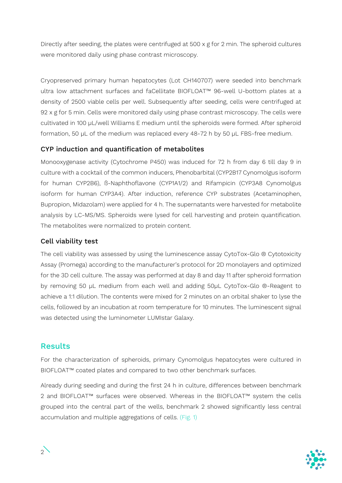Directly after seeding, the plates were centrifuged at 500 x g for 2 min. The spheroid cultures were monitored daily using phase contrast microscopy.

Cryopreserved primary human hepatocytes (Lot CH140707) were seeded into benchmark ultra low attachment surfaces and faCellitate BIOFLOAT™ 96-well U-bottom plates at a density of 2500 viable cells per well. Subsequently after seeding, cells were centrifuged at 92 x g for 5 min. Cells were monitored daily using phase contrast microscopy. The cells were cultivated in 100 µL/well Williams E medium until the spheroids were formed. After spheroid formation, 50 µL of the medium was replaced every 48-72 h by 50 µL FBS-free medium.

#### CYP induction and quantification of metabolites

Monooxygenase activity (Cytochrome P450) was induced for 72 h from day 6 till day 9 in culture with a cocktail of the common inducers, Phenobarbital (CYP2B17 Cynomolgus isoform for human CYP2B6), ß-Naphthoflavone (CYP1A1/2) and Rifampicin (CYP3A8 Cynomolgus isoform for human CYP3A4). After induction, reference CYP substrates (Acetaminophen, Bupropion, Midazolam) were applied for 4 h. The supernatants were harvested for metabolite analysis by LC-MS/MS. Spheroids were lysed for cell harvesting and protein quantification. The metabolites were normalized to protein content.

#### Cell viability test

The cell viability was assessed by using the luminescence assay CytoTox-Glo ® Cytotoxicity Assay (Promega) according to the manufacturer's protocol for 2D monolayers and optimized for the 3D cell culture. The assay was performed at day 8 and day 11 after spheroid formation by removing 50 µL medium from each well and adding 50µL CytoTox-Glo ®-Reagent to achieve a 1:1 dilution. The contents were mixed for 2 minutes on an orbital shaker to lyse the cells, followed by an incubation at room temperature for 10 minutes. The luminescent signal was detected using the luminometer LUMIstar Galaxy.

### Results

For the characterization of spheroids, primary Cynomolgus hepatocytes were cultured in BIOFLOAT™ coated plates and compared to two other benchmark surfaces.

Already during seeding and during the first 24 h in culture, differences between benchmark 2 and BIOFLOAT™ surfaces were observed. Whereas in the BIOFLOAT™ system the cells grouped into the central part of the wells, benchmark 2 showed significantly less central accumulation and multiple aggregations of cells. (Fig. 1)

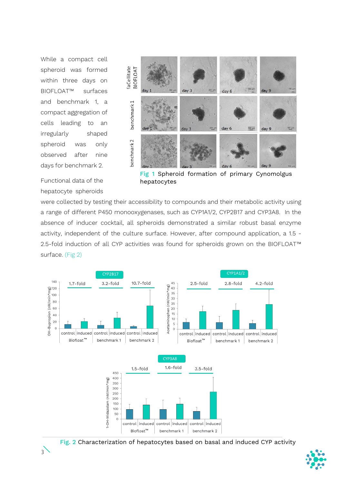While a compact cell spheroid was formed within three days on BIOFLOAT™ surfaces and benchmark 1, a compact aggregation of cells leading to an irregularly shaped spheroid was only observed after nine days for benchmark 2.





Fig 1 Spheroid formation of primary Cynomolgus hepatocytes

were collected by testing their accessibility to compounds and their metabolic activity using a range of different P450 monooxygenases, such as CYP1A1/2, CYP2B17 and CYP3A8. In the absence of inducer cocktail, all spheroids demonstrated a similar robust basal enzyme activity, independent of the culture surface. However, after compound application, a 1.5 - 2.5-fold induction of all CYP activities was found for spheroids grown on the BIOFLOAT™ surface. (Fig 2)



Fig. 2 Characterization of hepatocytes based on basal and induced CYP activity

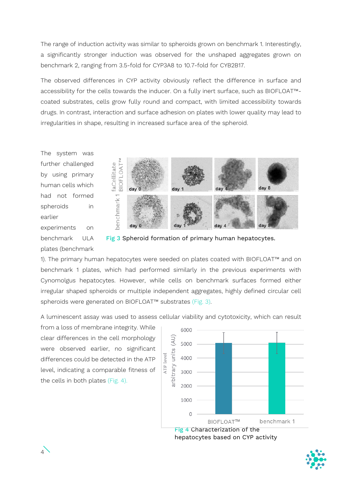The range of induction activity was similar to spheroids grown on benchmark 1. Interestingly, a significantly stronger induction was observed for the unshaped aggregates grown on benchmark 2, ranging from 3.5-fold for CYP3A8 to 10.7-fold for CYB2B17.

The observed differences in CYP activity obviously reflect the difference in surface and accessibility for the cells towards the inducer. On a fully inert surface, such as BIOFLOAT™ coated substrates, cells grow fully round and compact, with limited accessibility towards drugs. In contrast, interaction and surface adhesion on plates with lower quality may lead to irregularities in shape, resulting in increased surface area of the spheroid.

The system was further challenged by using primary human cells which had not formed spheroids in earlier experiments on benchmark ULA plates (benchmark



Fig 3 Spheroid formation of primary human hepatocytes.

1). The primary human hepatocytes were seeded on plates coated with BIOFLOAT™ and on benchmark 1 plates, which had performed similarly in the previous experiments with Cynomolgus hepatocytes. However, while cells on benchmark surfaces formed either irregular shaped spheroids or multiple independent aggregates, highly defined circular cell spheroids were generated on BIOFLOAT™ substrates (Fig. 3).

A luminescent assay was used to assess cellular viability and cytotoxicity, which can result

from a loss of membrane integrity. While clear differences in the cell morphology were observed earlier, no significant differences could be detected in the ATP level, indicating a comparable fitness of the cells in both plates (Fig. 4).